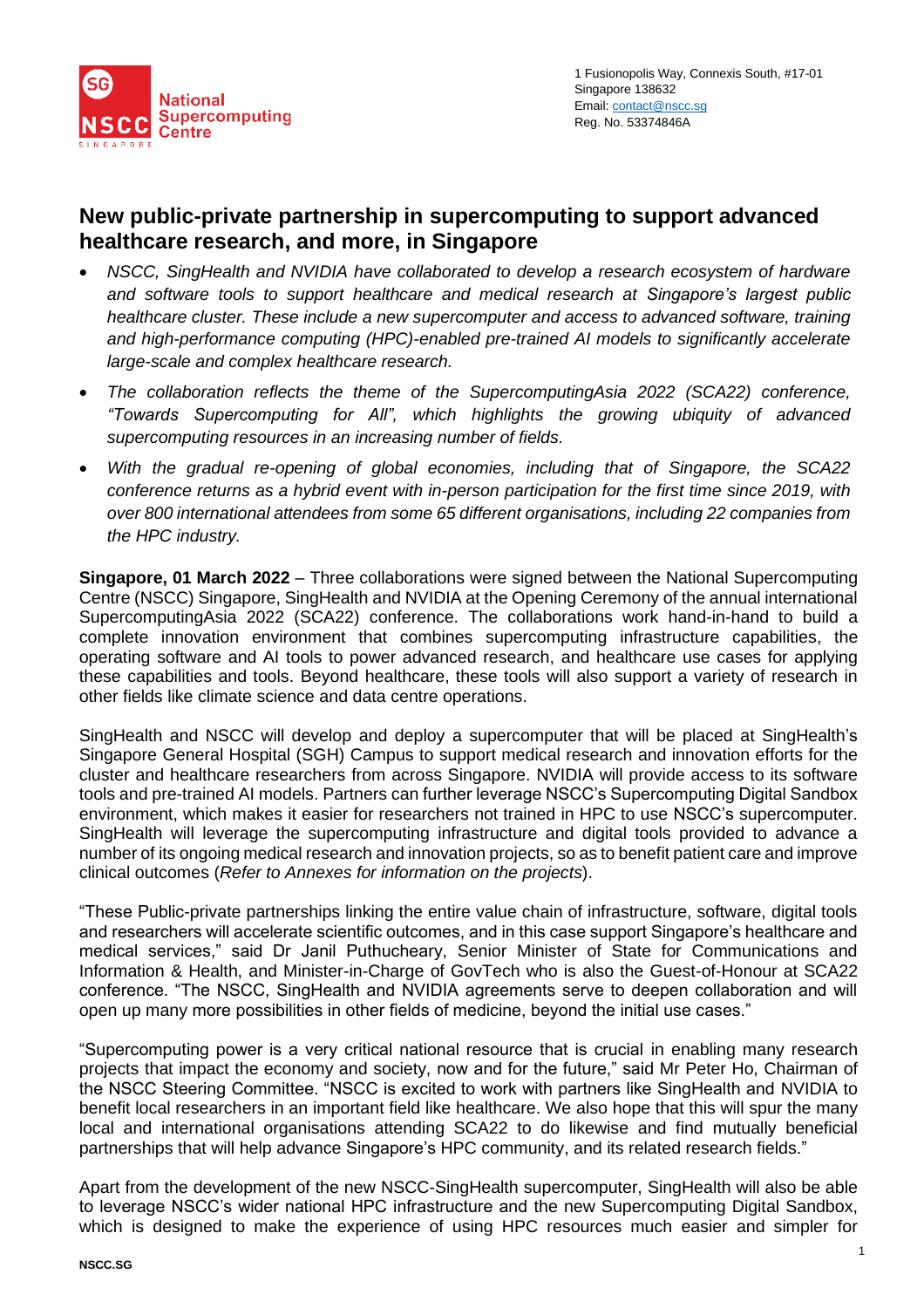

# **New public-private partnership in supercomputing to support advanced healthcare research, and more, in Singapore**

- *NSCC, SingHealth and NVIDIA have collaborated to develop a research ecosystem of hardware and software tools to support healthcare and medical research at Singapore's largest public healthcare cluster. These include a new supercomputer and access to advanced software, training and high-performance computing (HPC)-enabled pre-trained AI models to significantly accelerate large-scale and complex healthcare research.*
- *The collaboration reflects the theme of the SupercomputingAsia 2022 (SCA22) conference, "Towards Supercomputing for All", which highlights the growing ubiquity of advanced supercomputing resources in an increasing number of fields.*
- *With the gradual re-opening of global economies, including that of Singapore, the SCA22 conference returns as a hybrid event with in-person participation for the first time since 2019, with over 800 international attendees from some 65 different organisations, including 22 companies from the HPC industry.*

**Singapore, 01 March 2022** – Three collaborations were signed between the National Supercomputing Centre (NSCC) Singapore, SingHealth and NVIDIA at the Opening Ceremony of the annual international SupercomputingAsia 2022 (SCA22) conference. The collaborations work hand-in-hand to build a complete innovation environment that combines supercomputing infrastructure capabilities, the operating software and AI tools to power advanced research, and healthcare use cases for applying these capabilities and tools. Beyond healthcare, these tools will also support a variety of research in other fields like climate science and data centre operations.

SingHealth and NSCC will develop and deploy a supercomputer that will be placed at SingHealth's Singapore General Hospital (SGH) Campus to support medical research and innovation efforts for the cluster and healthcare researchers from across Singapore. NVIDIA will provide access to its software tools and pre-trained AI models. Partners can further leverage NSCC's Supercomputing Digital Sandbox environment, which makes it easier for researchers not trained in HPC to use NSCC's supercomputer. SingHealth will leverage the supercomputing infrastructure and digital tools provided to advance a number of its ongoing medical research and innovation projects, so as to benefit patient care and improve clinical outcomes (*Refer to Annexes for information on the projects*).

"These Public-private partnerships linking the entire value chain of infrastructure, software, digital tools and researchers will accelerate scientific outcomes, and in this case support Singapore's healthcare and medical services," said Dr Janil Puthucheary, Senior Minister of State for Communications and Information & Health, and Minister-in-Charge of GovTech who is also the Guest-of-Honour at SCA22 conference. "The NSCC, SingHealth and NVIDIA agreements serve to deepen collaboration and will open up many more possibilities in other fields of medicine, beyond the initial use cases."

"Supercomputing power is a very critical national resource that is crucial in enabling many research projects that impact the economy and society, now and for the future," said Mr Peter Ho, Chairman of the NSCC Steering Committee. "NSCC is excited to work with partners like SingHealth and NVIDIA to benefit local researchers in an important field like healthcare. We also hope that this will spur the many local and international organisations attending SCA22 to do likewise and find mutually beneficial partnerships that will help advance Singapore's HPC community, and its related research fields."

Apart from the development of the new NSCC-SingHealth supercomputer, SingHealth will also be able to leverage NSCC's wider national HPC infrastructure and the new Supercomputing Digital Sandbox, which is designed to make the experience of using HPC resources much easier and simpler for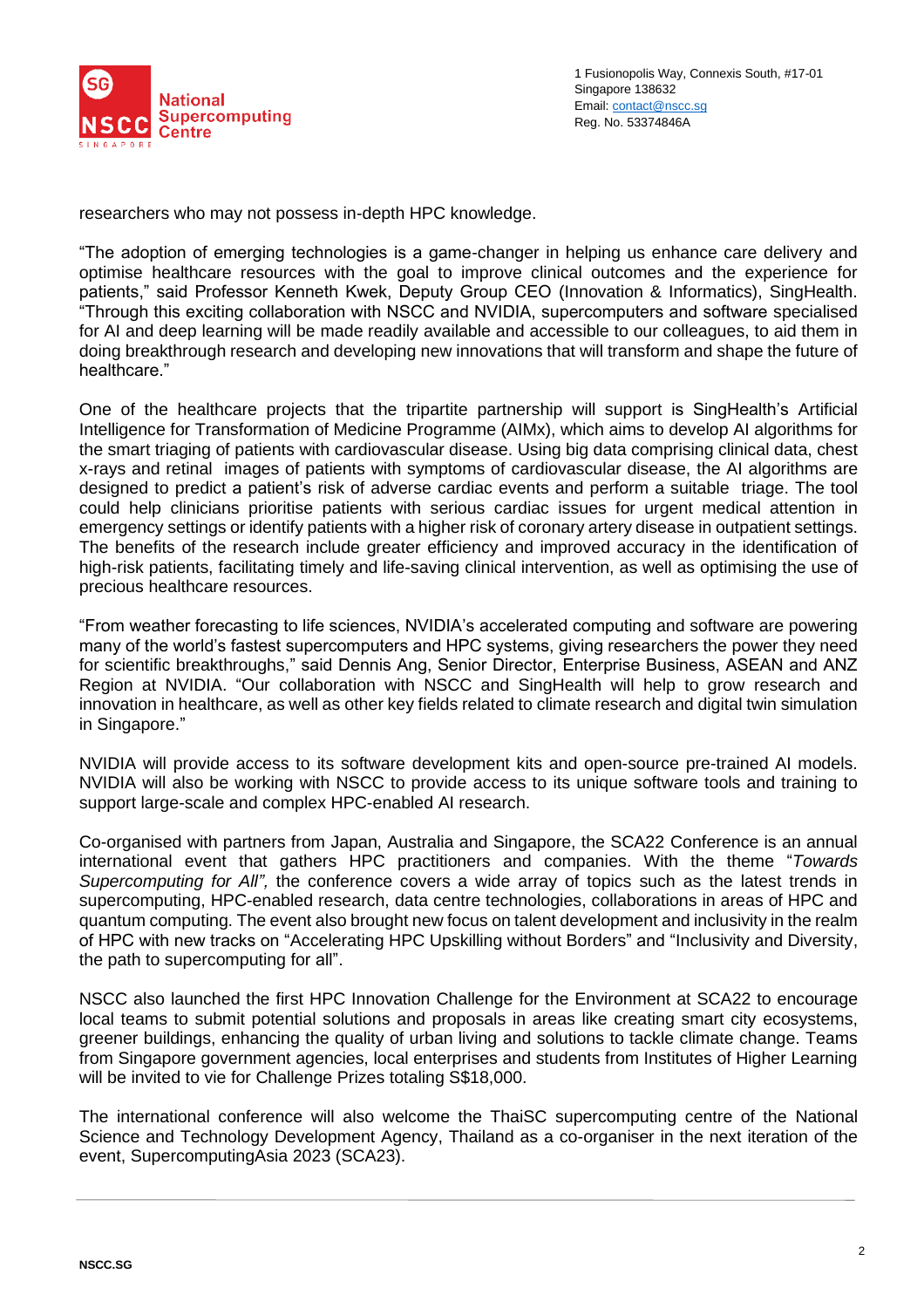

researchers who may not possess in-depth HPC knowledge.

"The adoption of emerging technologies is a game-changer in helping us enhance care delivery and optimise healthcare resources with the goal to improve clinical outcomes and the experience for patients," said Professor Kenneth Kwek, Deputy Group CEO (Innovation & Informatics), SingHealth. "Through this exciting collaboration with NSCC and NVIDIA, supercomputers and software specialised for AI and deep learning will be made readily available and accessible to our colleagues, to aid them in doing breakthrough research and developing new innovations that will transform and shape the future of healthcare."

One of the healthcare projects that the tripartite partnership will support is SingHealth's Artificial Intelligence for Transformation of Medicine Programme (AIMx), which aims to develop AI algorithms for the smart triaging of patients with cardiovascular disease. Using big data comprising clinical data, chest x-rays and retinal images of patients with symptoms of cardiovascular disease, the AI algorithms are designed to predict a patient's risk of adverse cardiac events and perform a suitable triage. The tool could help clinicians prioritise patients with serious cardiac issues for urgent medical attention in emergency settings or identify patients with a higher risk of coronary artery disease in outpatient settings. The benefits of the research include greater efficiency and improved accuracy in the identification of high-risk patients, facilitating timely and life-saving clinical intervention, as well as optimising the use of precious healthcare resources.

"From weather forecasting to life sciences, NVIDIA's accelerated computing and software are powering many of the world's fastest supercomputers and HPC systems, giving researchers the power they need for scientific breakthroughs," said Dennis Ang, Senior Director, Enterprise Business, ASEAN and ANZ Region at NVIDIA. "Our collaboration with NSCC and SingHealth will help to grow research and innovation in healthcare, as well as other key fields related to climate research and digital twin simulation in Singapore."

NVIDIA will provide access to its software development kits and open-source pre-trained AI models. NVIDIA will also be working with NSCC to provide access to its unique software tools and training to support large-scale and complex HPC-enabled AI research.

Co-organised with partners from Japan, Australia and Singapore, the SCA22 Conference is an annual international event that gathers HPC practitioners and companies. With the theme "*Towards Supercomputing for All",* the conference covers a wide array of topics such as the latest trends in supercomputing, HPC-enabled research, data centre technologies, collaborations in areas of HPC and quantum computing. The event also brought new focus on talent development and inclusivity in the realm of HPC with new tracks on "Accelerating HPC Upskilling without Borders" and "Inclusivity and Diversity, the path to supercomputing for all".

NSCC also launched the first HPC Innovation Challenge for the Environment at SCA22 to encourage local teams to submit potential solutions and proposals in areas like creating smart city ecosystems, greener buildings, enhancing the quality of urban living and solutions to tackle climate change. Teams from Singapore government agencies, local enterprises and students from Institutes of Higher Learning will be invited to vie for Challenge Prizes totaling S\$18,000.

The international conference will also welcome the ThaiSC supercomputing centre of the National Science and Technology Development Agency, Thailand as a co-organiser in the next iteration of the event, SupercomputingAsia 2023 (SCA23).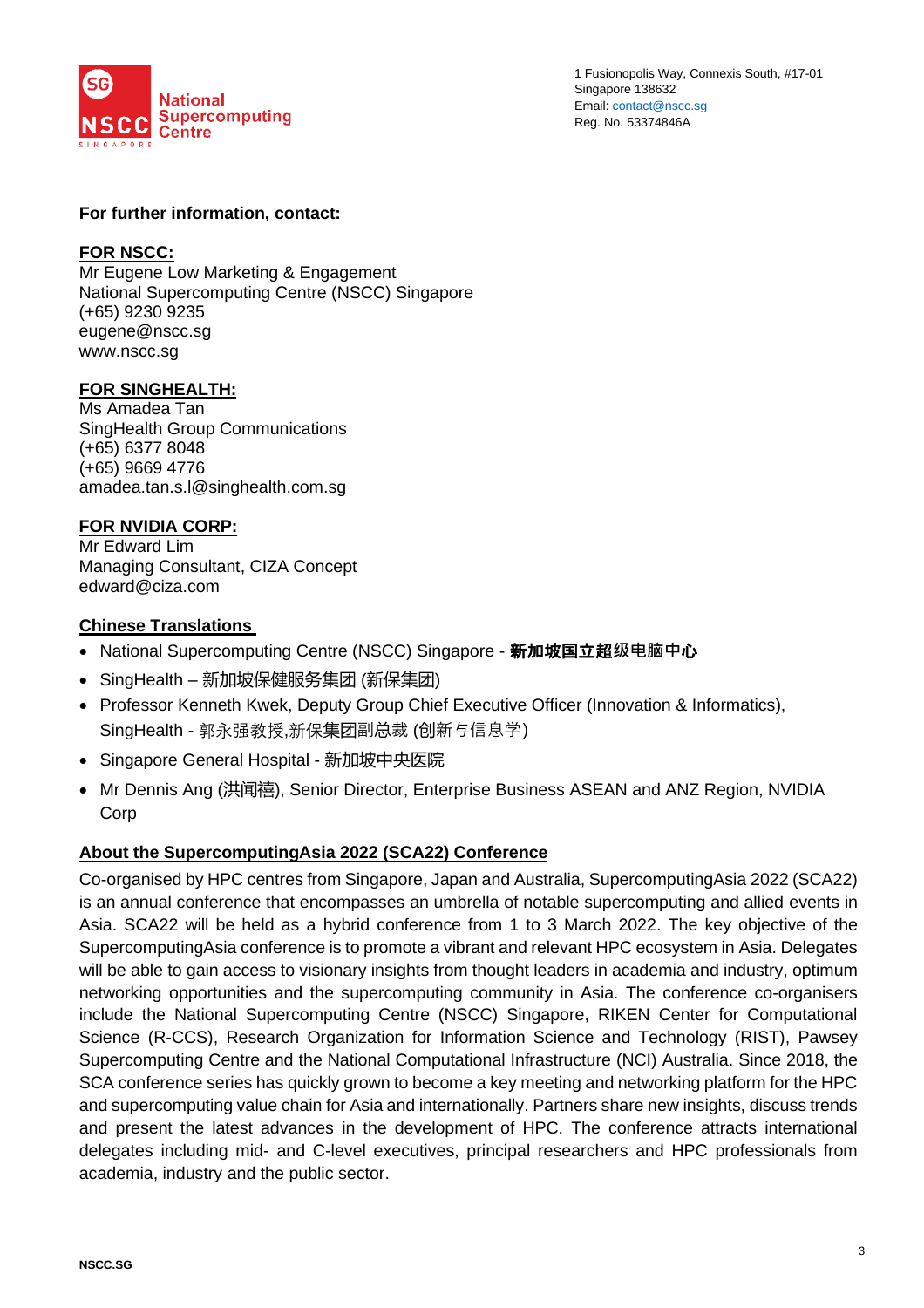

1 Fusionopolis Way, Connexis South, #17-01 Singapore 138632 Email[: contact@nscc.sg](mailto:contact@nscc.sg) Reg. No. 53374846A

#### **For further information, contact:**

#### **FOR NSCC:**

Mr Eugene Low Marketing & Engagement National Supercomputing Centre (NSCC) Singapore (+65) 9230 9235 [eugene@nscc.sg](mailto:eugene@nscc.sg) [www.nscc.sg](http://www.nscc.sg/)

#### **FOR SINGHEALTH:**

Ms Amadea Tan SingHealth Group Communications (+65) 6377 8048 (+65) 9669 4776 amadea.tan.s.l@singhealth.com.sg

## **FOR NVIDIA CORP:**

Mr Edward Lim Managing Consultant, CIZA Concept edward@ciza.com

#### **Chinese Translations**

- National Supercomputing Centre (NSCC) Singapore 新加坡国立超**级电脑中**心
- SingHealth 新加坡保健服务集团 (新保集团)
- Professor Kenneth Kwek, Deputy Group Chief Executive Officer (Innovation & Informatics), SingHealth - 郭永强教授,新保集团副总裁 (创新与信息学)
- Singapore General Hospital 新加坡中央医院
- Mr Dennis Ang (洪闻禧), Senior Director, Enterprise Business ASEAN and ANZ Region, NVIDIA Corp

#### **About the SupercomputingAsia 2022 (SCA22) Conference**

Co-organised by HPC centres from Singapore, Japan and Australia, SupercomputingAsia 2022 (SCA22) is an annual conference that encompasses an umbrella of notable supercomputing and allied events in Asia. SCA22 will be held as a hybrid conference from 1 to 3 March 2022. The key objective of the SupercomputingAsia conference is to promote a vibrant and relevant HPC ecosystem in Asia. Delegates will be able to gain access to visionary insights from thought leaders in academia and industry, optimum networking opportunities and the supercomputing community in Asia. The conference co-organisers include the National Supercomputing Centre (NSCC) Singapore, RIKEN Center for Computational Science (R-CCS), Research Organization for Information Science and Technology (RIST), Pawsey Supercomputing Centre and the National Computational Infrastructure (NCI) Australia. Since 2018, the SCA conference series has quickly grown to become a key meeting and networking platform for the HPC and supercomputing value chain for Asia and internationally. Partners share new insights, discuss trends and present the latest advances in the development of HPC. The conference attracts international delegates including mid- and C-level executives, principal researchers and HPC professionals from academia, industry and the public sector.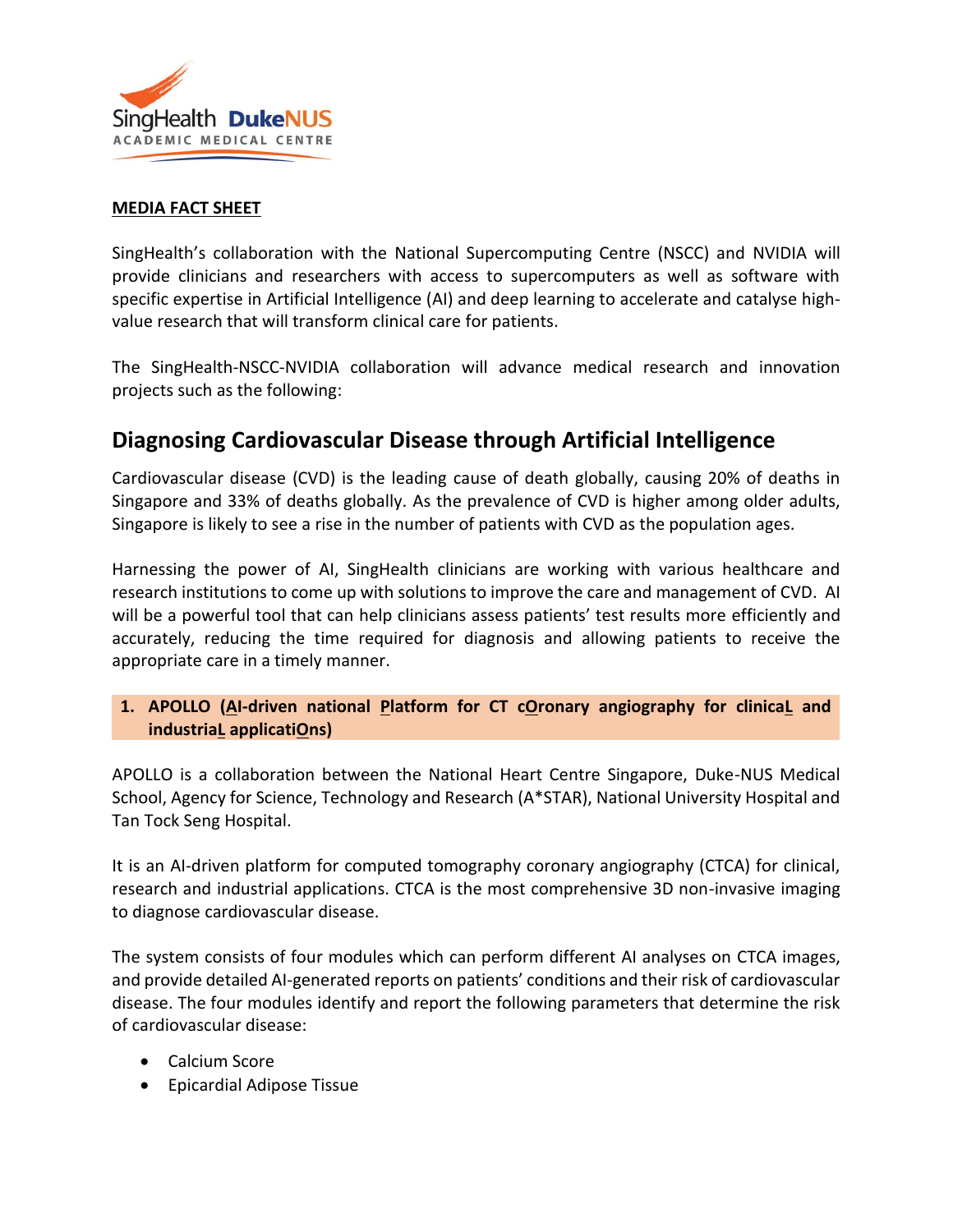

## **MEDIA FACT SHEET**

SingHealth's collaboration with the National Supercomputing Centre (NSCC) and NVIDIA will provide clinicians and researchers with access to supercomputers as well as software with specific expertise in Artificial Intelligence (AI) and deep learning to accelerate and catalyse highvalue research that will transform clinical care for patients.

The SingHealth-NSCC-NVIDIA collaboration will advance medical research and innovation projects such as the following:

# **Diagnosing Cardiovascular Disease through Artificial Intelligence**

Cardiovascular disease (CVD) is the leading cause of death globally, causing 20% of deaths in Singapore and 33% of deaths globally. As the prevalence of CVD is higher among older adults, Singapore is likely to see a rise in the number of patients with CVD as the population ages.

Harnessing the power of AI, SingHealth clinicians are working with various healthcare and research institutions to come up with solutions to improve the care and management of CVD. AI will be a powerful tool that can help clinicians assess patients' test results more efficiently and accurately, reducing the time required for diagnosis and allowing patients to receive the appropriate care in a timely manner.

## **1. APOLLO (AI-driven national Platform for CT cOronary angiography for clinicaL and industriaL applicatiOns)**

APOLLO is a collaboration between the National Heart Centre Singapore, Duke-NUS Medical School, Agency for Science, Technology and Research (A\*STAR), National University Hospital and Tan Tock Seng Hospital.

It is an AI-driven platform for computed tomography coronary angiography (CTCA) for clinical, research and industrial applications. CTCA is the most comprehensive 3D non-invasive imaging to diagnose cardiovascular disease.

The system consists of four modules which can perform different AI analyses on CTCA images, and provide detailed AI-generated reports on patients' conditions and their risk of cardiovascular disease. The four modules identify and report the following parameters that determine the risk of cardiovascular disease:

- Calcium Score
- Epicardial Adipose Tissue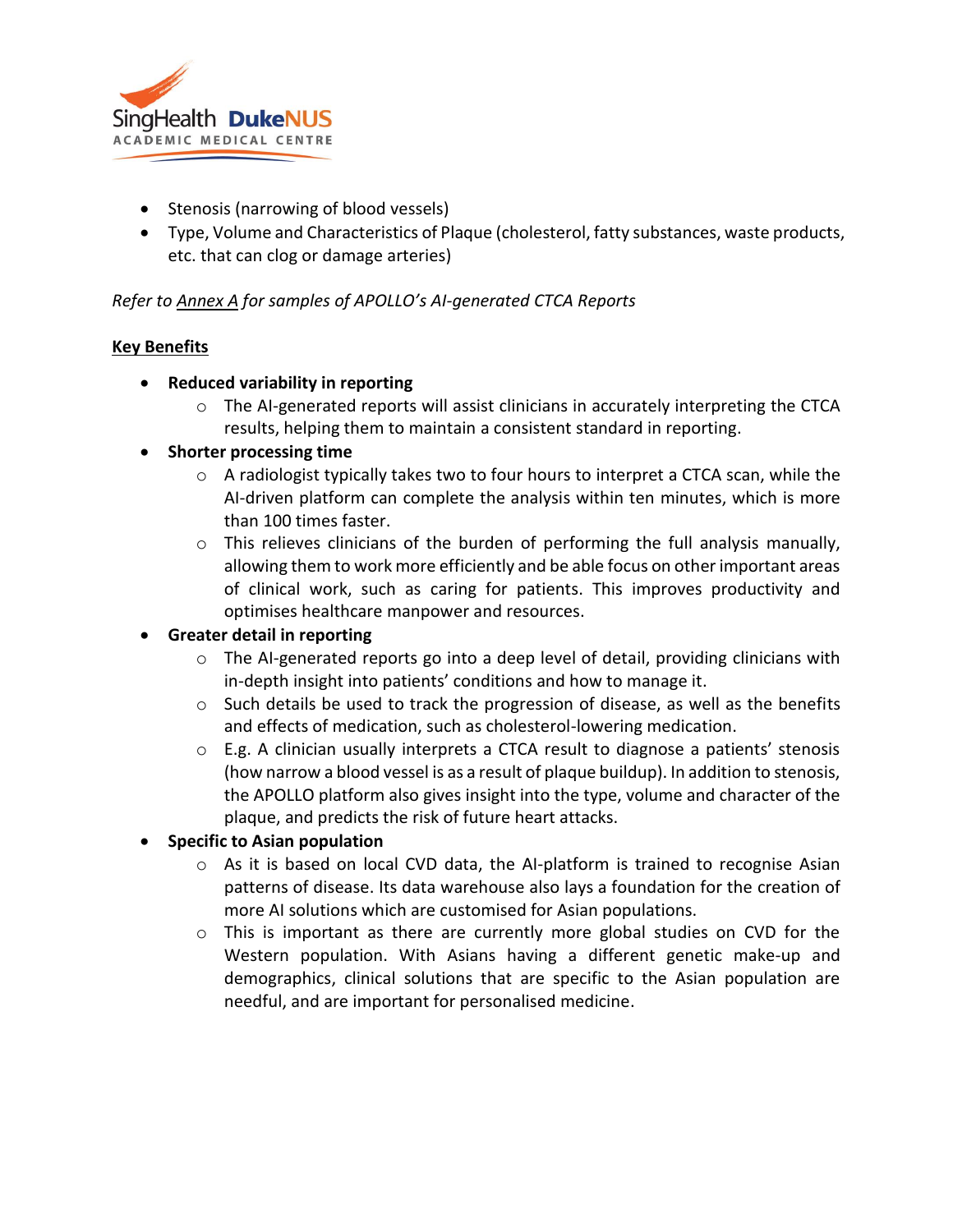

- Stenosis (narrowing of blood vessels)
- Type, Volume and Characteristics of Plaque (cholesterol, fatty substances, waste products, etc. that can clog or damage arteries)

## *Refer to Annex A for samples of APOLLO's AI-generated CTCA Reports*

## **Key Benefits**

- **Reduced variability in reporting** 
	- $\circ$  The AI-generated reports will assist clinicians in accurately interpreting the CTCA results, helping them to maintain a consistent standard in reporting.

## • **Shorter processing time**

- $\circ$  A radiologist typically takes two to four hours to interpret a CTCA scan, while the AI-driven platform can complete the analysis within ten minutes, which is more than 100 times faster.
- $\circ$  This relieves clinicians of the burden of performing the full analysis manually, allowing them to work more efficiently and be able focus on other important areas of clinical work, such as caring for patients. This improves productivity and optimises healthcare manpower and resources.

## • **Greater detail in reporting**

- o The AI-generated reports go into a deep level of detail, providing clinicians with in-depth insight into patients' conditions and how to manage it.
- $\circ$  Such details be used to track the progression of disease, as well as the benefits and effects of medication, such as cholesterol-lowering medication.
- $\circ$  E.g. A clinician usually interprets a CTCA result to diagnose a patients' stenosis (how narrow a blood vessel is as a result of plaque buildup). In addition to stenosis, the APOLLO platform also gives insight into the type, volume and character of the plaque, and predicts the risk of future heart attacks.

## • **Specific to Asian population**

- o As it is based on local CVD data, the AI-platform is trained to recognise Asian patterns of disease. Its data warehouse also lays a foundation for the creation of more AI solutions which are customised for Asian populations.
- $\circ$  This is important as there are currently more global studies on CVD for the Western population. With Asians having a different genetic make-up and demographics, clinical solutions that are specific to the Asian population are needful, and are important for personalised medicine.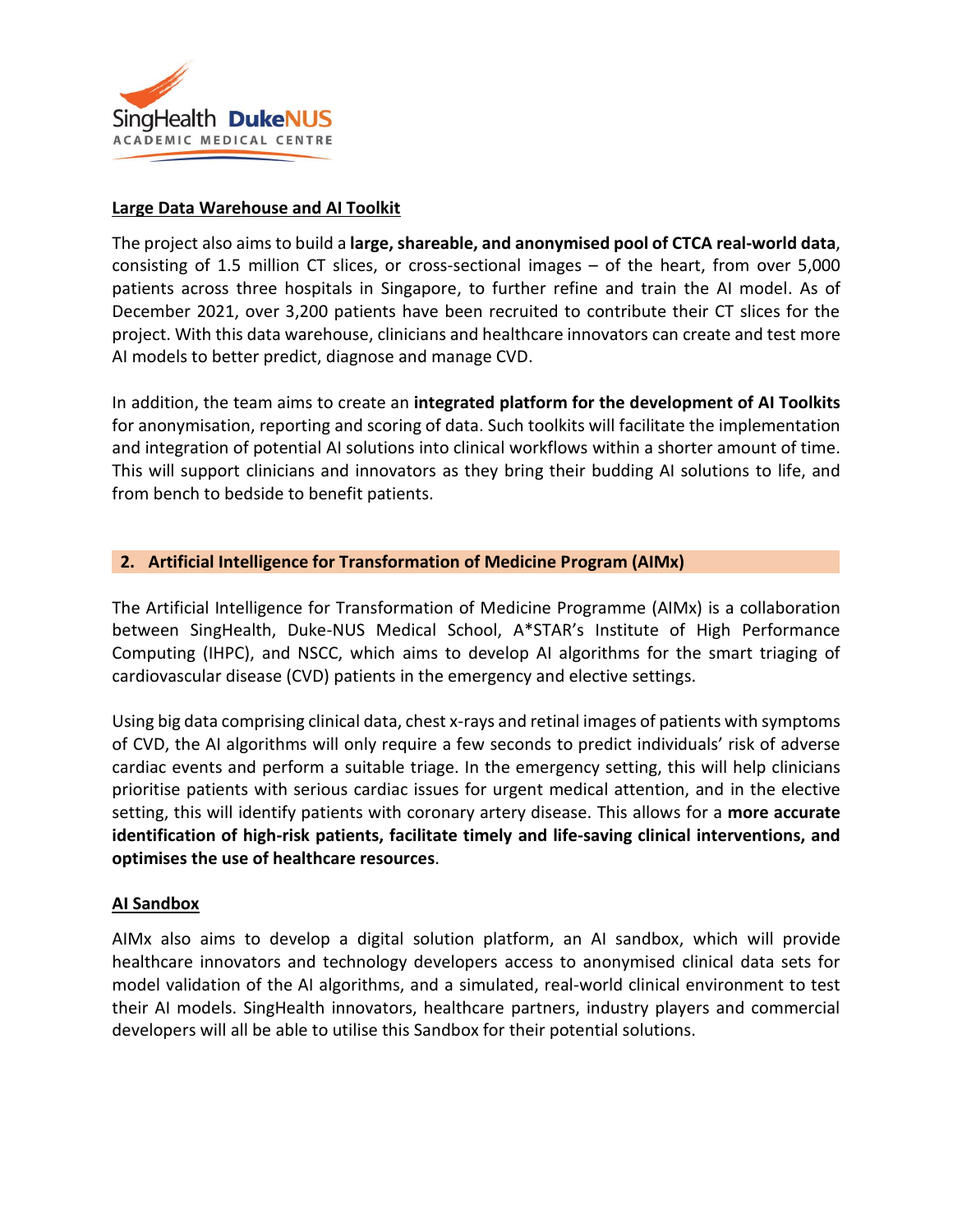

#### **Large Data Warehouse and AI Toolkit**

The project also aims to build a **large, shareable, and anonymised pool of CTCA real-world data**, consisting of 1.5 million CT slices, or cross-sectional images – of the heart, from over 5,000 patients across three hospitals in Singapore, to further refine and train the AI model. As of December 2021, over 3,200 patients have been recruited to contribute their CT slices for the project. With this data warehouse, clinicians and healthcare innovators can create and test more AI models to better predict, diagnose and manage CVD.

In addition, the team aims to create an **integrated platform for the development of AI Toolkits** for anonymisation, reporting and scoring of data. Such toolkits will facilitate the implementation and integration of potential AI solutions into clinical workflows within a shorter amount of time. This will support clinicians and innovators as they bring their budding AI solutions to life, and from bench to bedside to benefit patients.

#### **2. Artificial Intelligence for Transformation of Medicine Program (AIMx)**

The Artificial Intelligence for Transformation of Medicine Programme (AIMx) is a collaboration between SingHealth, Duke-NUS Medical School, A\*STAR's Institute of High Performance Computing (IHPC), and NSCC, which aims to develop AI algorithms for the smart triaging of cardiovascular disease (CVD) patients in the emergency and elective settings.

Using big data comprising clinical data, chest x-rays and retinal images of patients with symptoms of CVD, the AI algorithms will only require a few seconds to predict individuals' risk of adverse cardiac events and perform a suitable triage. In the emergency setting, this will help clinicians prioritise patients with serious cardiac issues for urgent medical attention, and in the elective setting, this will identify patients with coronary artery disease. This allows for a **more accurate identification of high-risk patients, facilitate timely and life-saving clinical interventions, and optimises the use of healthcare resources**.

## **AI Sandbox**

AIMx also aims to develop a digital solution platform, an AI sandbox, which will provide healthcare innovators and technology developers access to anonymised clinical data sets for model validation of the AI algorithms, and a simulated, real-world clinical environment to test their AI models. SingHealth innovators, healthcare partners, industry players and commercial developers will all be able to utilise this Sandbox for their potential solutions.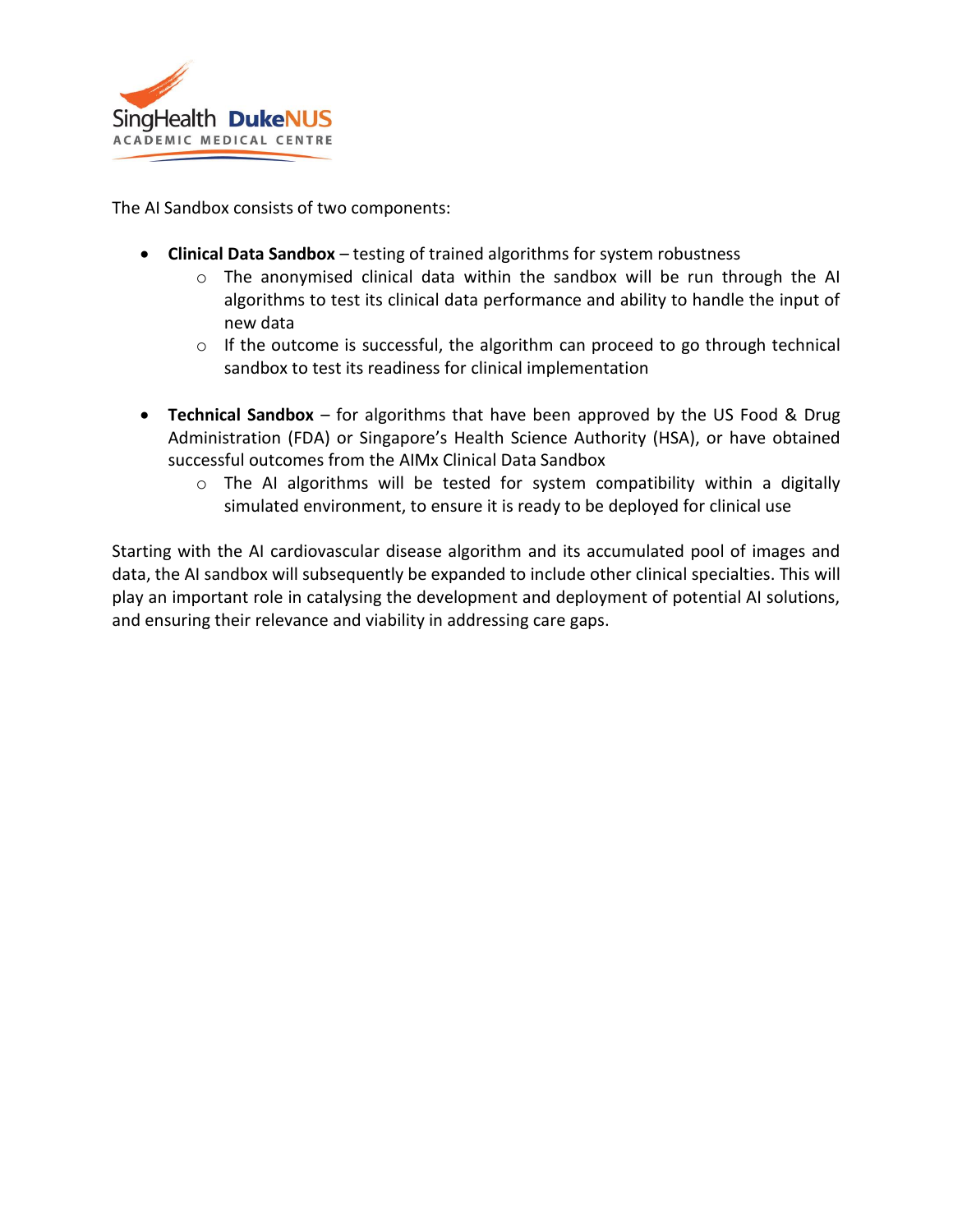

The AI Sandbox consists of two components:

- **Clinical Data Sandbox** testing of trained algorithms for system robustness
	- $\circ$  The anonymised clinical data within the sandbox will be run through the AI algorithms to test its clinical data performance and ability to handle the input of new data
	- o If the outcome is successful, the algorithm can proceed to go through technical sandbox to test its readiness for clinical implementation
- **Technical Sandbox** for algorithms that have been approved by the US Food & Drug Administration (FDA) or Singapore's Health Science Authority (HSA), or have obtained successful outcomes from the AIMx Clinical Data Sandbox
	- $\circ$  The AI algorithms will be tested for system compatibility within a digitally simulated environment, to ensure it is ready to be deployed for clinical use

Starting with the AI cardiovascular disease algorithm and its accumulated pool of images and data, the AI sandbox will subsequently be expanded to include other clinical specialties. This will play an important role in catalysing the development and deployment of potential AI solutions, and ensuring their relevance and viability in addressing care gaps.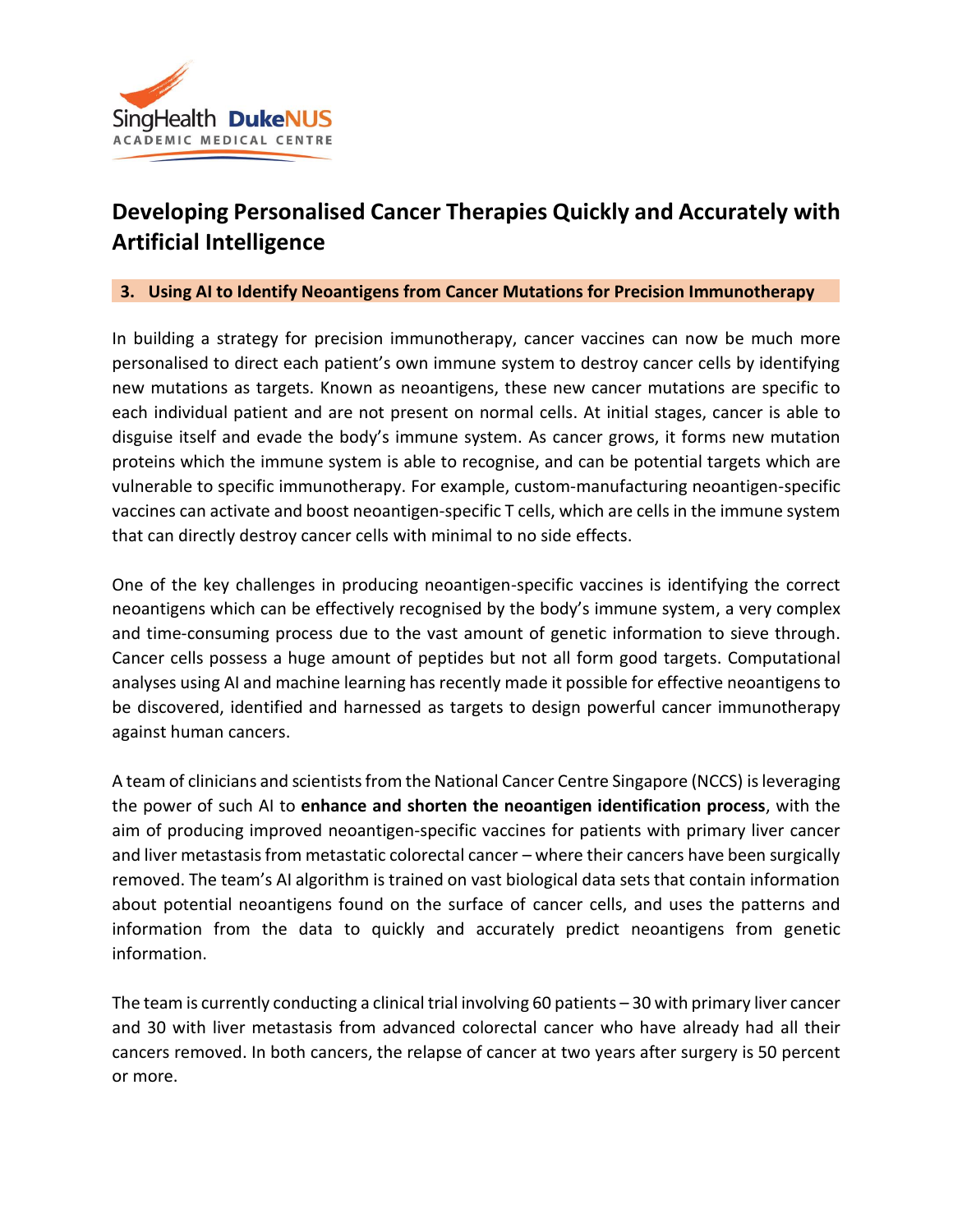

# **Developing Personalised Cancer Therapies Quickly and Accurately with Artificial Intelligence**

#### **3. Using AI to Identify Neoantigens from Cancer Mutations for Precision Immunotherapy**

In building a strategy for precision immunotherapy, cancer vaccines can now be much more personalised to direct each patient's own immune system to destroy cancer cells by identifying new mutations as targets. Known as neoantigens, these new cancer mutations are specific to each individual patient and are not present on normal cells. At initial stages, cancer is able to disguise itself and evade the body's immune system. As cancer grows, it forms new mutation proteins which the immune system is able to recognise, and can be potential targets which are vulnerable to specific immunotherapy. For example, custom-manufacturing neoantigen-specific vaccines can activate and boost neoantigen-specific T cells, which are cells in the immune system that can directly destroy cancer cells with minimal to no side effects.

One of the key challenges in producing neoantigen-specific vaccines is identifying the correct neoantigens which can be effectively recognised by the body's immune system, a very complex and time-consuming process due to the vast amount of genetic information to sieve through. Cancer cells possess a huge amount of peptides but not all form good targets. Computational analyses using AI and machine learning has recently made it possible for effective neoantigens to be discovered, identified and harnessed as targets to design powerful cancer immunotherapy against human cancers.

A team of clinicians and scientists from the National Cancer Centre Singapore (NCCS) is leveraging the power of such AI to **enhance and shorten the neoantigen identification process**, with the aim of producing improved neoantigen-specific vaccines for patients with primary liver cancer and liver metastasis from metastatic colorectal cancer – where their cancers have been surgically removed. The team's AI algorithm is trained on vast biological data sets that contain information about potential neoantigens found on the surface of cancer cells, and uses the patterns and information from the data to quickly and accurately predict neoantigens from genetic information.

The team is currently conducting a clinical trial involving 60 patients – 30 with primary liver cancer and 30 with liver metastasis from advanced colorectal cancer who have already had all their cancers removed. In both cancers, the relapse of cancer at two years after surgery is 50 percent or more.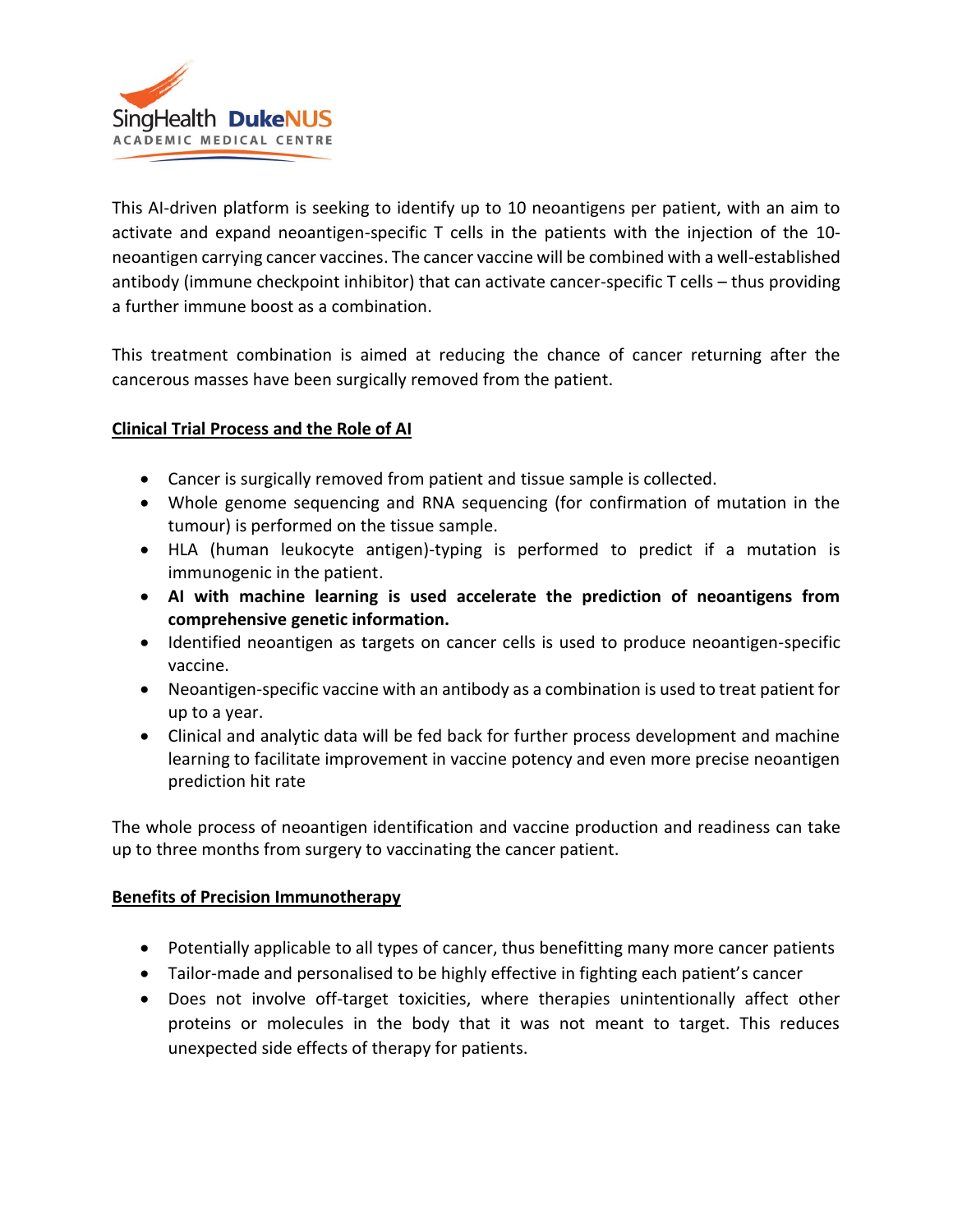

This AI-driven platform is seeking to identify up to 10 neoantigens per patient, with an aim to activate and expand neoantigen-specific T cells in the patients with the injection of the 10 neoantigen carrying cancer vaccines. The cancer vaccine will be combined with a well-established antibody (immune checkpoint inhibitor) that can activate cancer-specific T cells – thus providing a further immune boost as a combination.

This treatment combination is aimed at reducing the chance of cancer returning after the cancerous masses have been surgically removed from the patient.

## **Clinical Trial Process and the Role of AI**

- Cancer is surgically removed from patient and tissue sample is collected.
- Whole genome sequencing and RNA sequencing (for confirmation of mutation in the tumour) is performed on the tissue sample.
- HLA (human leukocyte antigen)-typing is performed to predict if a mutation is immunogenic in the patient.
- **AI with machine learning is used accelerate the prediction of neoantigens from comprehensive genetic information.**
- Identified neoantigen as targets on cancer cells is used to produce neoantigen-specific vaccine.
- Neoantigen-specific vaccine with an antibody as a combination is used to treat patient for up to a year.
- Clinical and analytic data will be fed back for further process development and machine learning to facilitate improvement in vaccine potency and even more precise neoantigen prediction hit rate

The whole process of neoantigen identification and vaccine production and readiness can take up to three months from surgery to vaccinating the cancer patient.

## **Benefits of Precision Immunotherapy**

- Potentially applicable to all types of cancer, thus benefitting many more cancer patients
- Tailor-made and personalised to be highly effective in fighting each patient's cancer
- Does not involve off-target toxicities, where therapies unintentionally affect other proteins or molecules in the body that it was not meant to target. This reduces unexpected side effects of therapy for patients.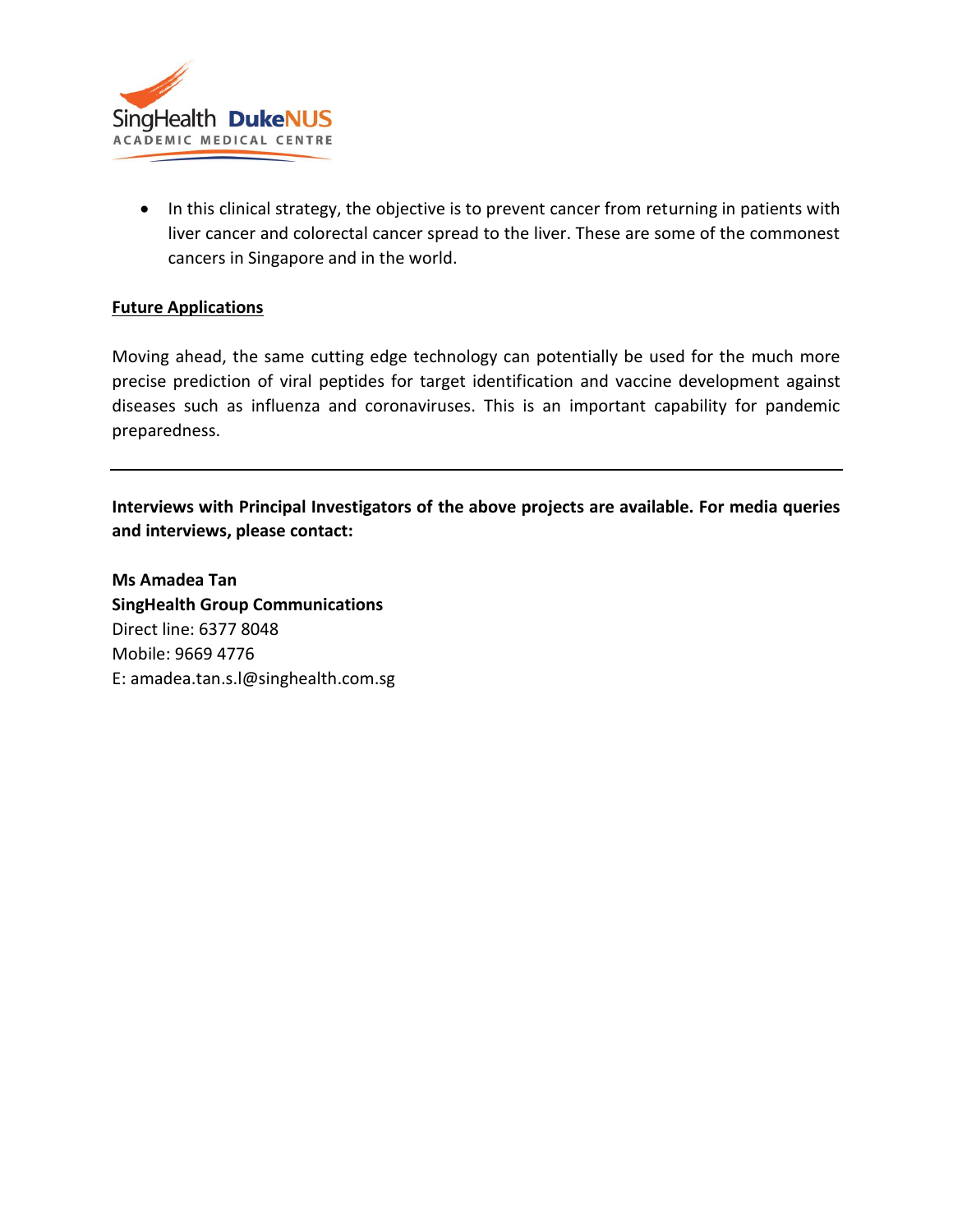

• In this clinical strategy, the objective is to prevent cancer from returning in patients with liver cancer and colorectal cancer spread to the liver. These are some of the commonest cancers in Singapore and in the world.

## **Future Applications**

Moving ahead, the same cutting edge technology can potentially be used for the much more precise prediction of viral peptides for target identification and vaccine development against diseases such as influenza and coronaviruses. This is an important capability for pandemic preparedness.

**Interviews with Principal Investigators of the above projects are available. For media queries and interviews, please contact:**

**Ms Amadea Tan SingHealth Group Communications** Direct line: 6377 8048 Mobile: 9669 4776 E: amadea.tan.s.l@singhealth.com.sg